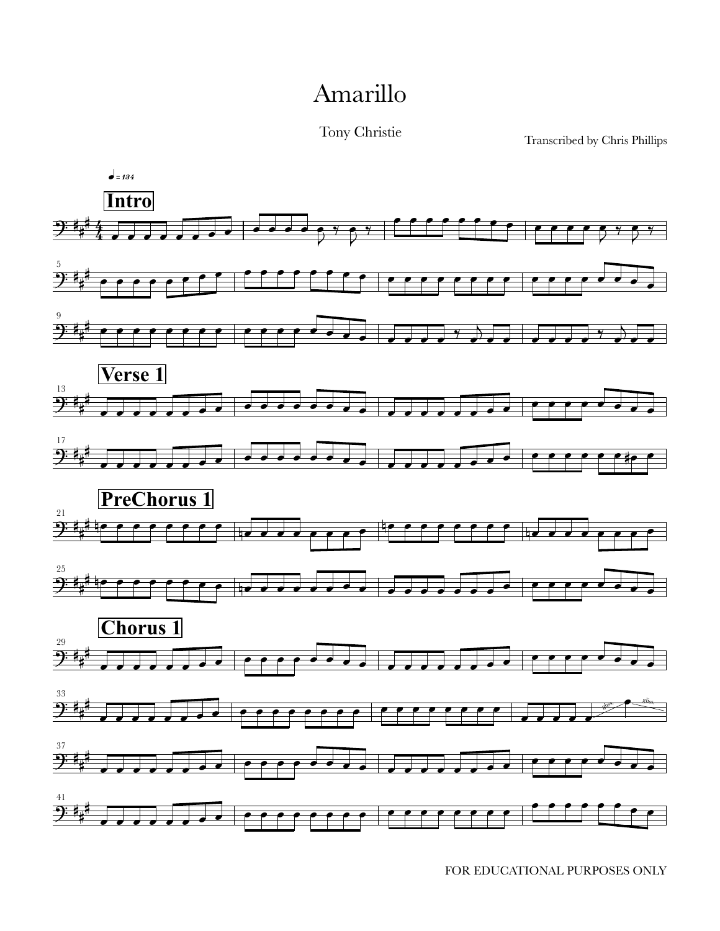## Amarillo

Tony Christie

Transcribed by Chris Phillips

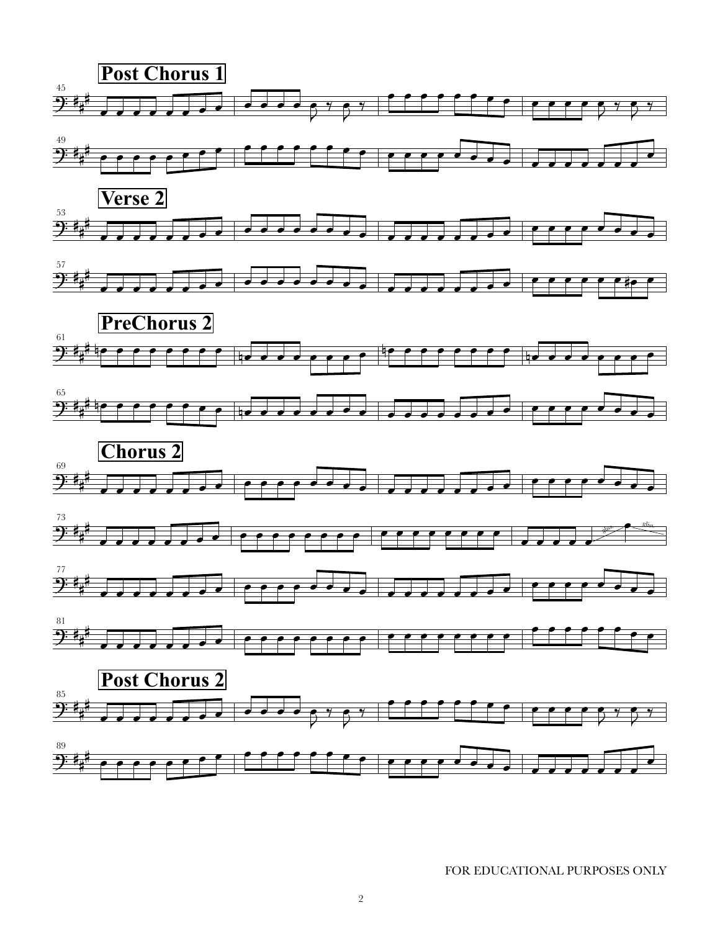















FOR EDUCATIONAL PURPOSES ONLY